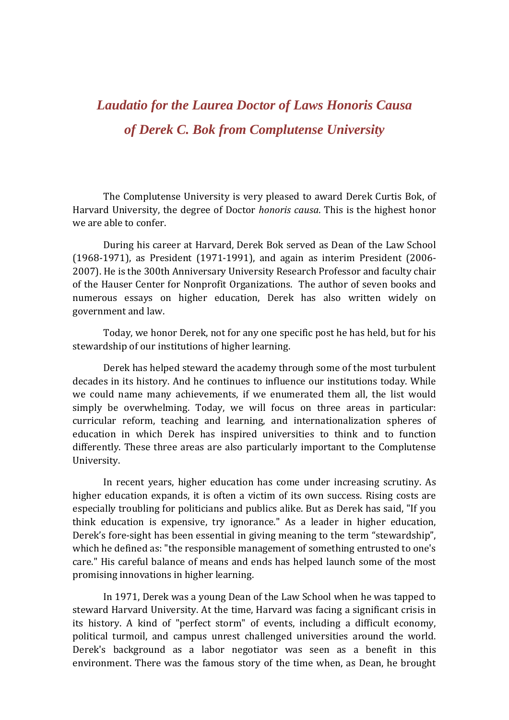## *Laudatio for the Laurea Doctor of Laws Honoris Causa of Derek C. Bok from Complutense University*

The Complutense University is very pleased to award Derek Curtis Bok, of Harvard University, the degree of Doctor *honoris causa*. This is the highest honor we are able to confer.

 During his career at Harvard, Derek Bok served as Dean of the Law School (1968-1971), as President (1971-1991), and again as interim President (2006- 2007). He is the 300th Anniversary University Research Professor and faculty chair of the Hauser Center for Nonprofit Organizations. The author of seven books and numerous essays on higher education, Derek has also written widely on government and law.

Today, we honor Derek, not for any one specific post he has held, but for his stewardship of our institutions of higher learning.

Derek has helped steward the academy through some of the most turbulent decades in its history. And he continues to influence our institutions today. While we could name many achievements, if we enumerated them all, the list would simply be overwhelming. Today, we will focus on three areas in particular: curricular reform, teaching and learning, and internationalization spheres of education in which Derek has inspired universities to think and to function differently. These three areas are also particularly important to the Complutense University.

 In recent years, higher education has come under increasing scrutiny. As higher education expands, it is often a victim of its own success. Rising costs are especially troubling for politicians and publics alike. But as Derek has said, "If you think education is expensive, try ignorance." As a leader in higher education, Derek's fore-sight has been essential in giving meaning to the term "stewardship", which he defined as: "the responsible management of something entrusted to one's care." His careful balance of means and ends has helped launch some of the most promising innovations in higher learning.

 In 1971, Derek was a young Dean of the Law School when he was tapped to steward Harvard University. At the time, Harvard was facing a significant crisis in its history. A kind of "perfect storm" of events, including a difficult economy, political turmoil, and campus unrest challenged universities around the world. Derek's background as a labor negotiator was seen as a benefit in this environment. There was the famous story of the time when, as Dean, he brought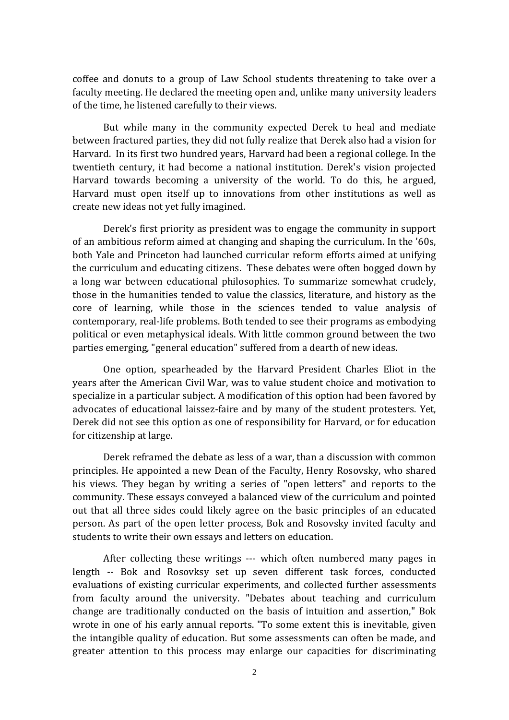coffee and donuts to a group of Law School students threatening to take over a faculty meeting. He declared the meeting open and, unlike many university leaders of the time, he listened carefully to their views.

 But while many in the community expected Derek to heal and mediate between fractured parties, they did not fully realize that Derek also had a vision for Harvard. In its first two hundred years, Harvard had been a regional college. In the twentieth century, it had become a national institution. Derek's vision projected Harvard towards becoming a university of the world. To do this, he argued, Harvard must open itself up to innovations from other institutions as well as create new ideas not yet fully imagined.

 Derek's first priority as president was to engage the community in support of an ambitious reform aimed at changing and shaping the curriculum. In the '60s, both Yale and Princeton had launched curricular reform efforts aimed at unifying the curriculum and educating citizens. These debates were often bogged down by a long war between educational philosophies. To summarize somewhat crudely, those in the humanities tended to value the classics, literature, and history as the core of learning, while those in the sciences tended to value analysis of contemporary, real-life problems. Both tended to see their programs as embodying political or even metaphysical ideals. With little common ground between the two parties emerging, "general education" suffered from a dearth of new ideas.

 One option, spearheaded by the Harvard President Charles Eliot in the years after the American Civil War, was to value student choice and motivation to specialize in a particular subject. A modification of this option had been favored by advocates of educational laissez-faire and by many of the student protesters. Yet, Derek did not see this option as one of responsibility for Harvard, or for education for citizenship at large.

 Derek reframed the debate as less of a war, than a discussion with common principles. He appointed a new Dean of the Faculty, Henry Rosovsky, who shared his views. They began by writing a series of "open letters" and reports to the community. These essays conveyed a balanced view of the curriculum and pointed out that all three sides could likely agree on the basic principles of an educated person. As part of the open letter process, Bok and Rosovsky invited faculty and students to write their own essays and letters on education.

 After collecting these writings --- which often numbered many pages in length -- Bok and Rosovksy set up seven different task forces, conducted evaluations of existing curricular experiments, and collected further assessments from faculty around the university. "Debates about teaching and curriculum change are traditionally conducted on the basis of intuition and assertion," Bok wrote in one of his early annual reports. "To some extent this is inevitable, given the intangible quality of education. But some assessments can often be made, and greater attention to this process may enlarge our capacities for discriminating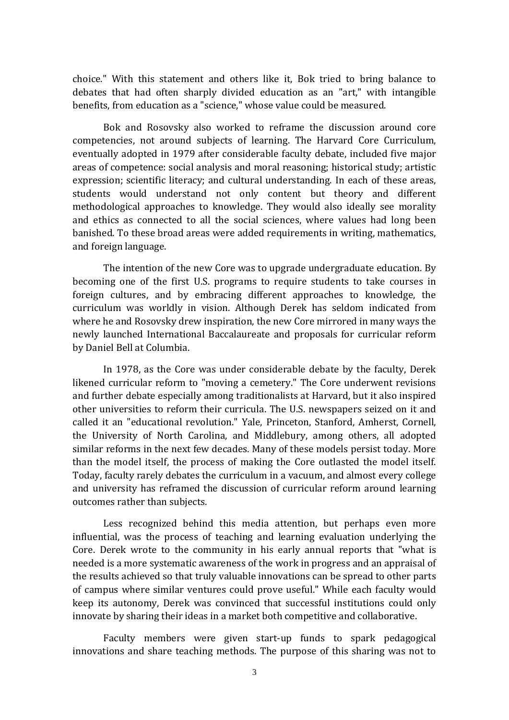choice." With this statement and others like it, Bok tried to bring balance to debates that had often sharply divided education as an "art," with intangible benefits, from education as a "science," whose value could be measured.

 Bok and Rosovsky also worked to reframe the discussion around core competencies, not around subjects of learning. The Harvard Core Curriculum, eventually adopted in 1979 after considerable faculty debate, included five major areas of competence: social analysis and moral reasoning; historical study; artistic expression; scientific literacy; and cultural understanding. In each of these areas, students would understand not only content but theory and different methodological approaches to knowledge. They would also ideally see morality and ethics as connected to all the social sciences, where values had long been banished. To these broad areas were added requirements in writing, mathematics, and foreign language.

 The intention of the new Core was to upgrade undergraduate education. By becoming one of the first U.S. programs to require students to take courses in foreign cultures, and by embracing different approaches to knowledge, the curriculum was worldly in vision. Although Derek has seldom indicated from where he and Rosovsky drew inspiration, the new Core mirrored in many ways the newly launched International Baccalaureate and proposals for curricular reform by Daniel Bell at Columbia.

 In 1978, as the Core was under considerable debate by the faculty, Derek likened curricular reform to "moving a cemetery." The Core underwent revisions and further debate especially among traditionalists at Harvard, but it also inspired other universities to reform their curricula. The U.S. newspapers seized on it and called it an "educational revolution." Yale, Princeton, Stanford, Amherst, Cornell, the University of North Carolina, and Middlebury, among others, all adopted similar reforms in the next few decades. Many of these models persist today. More than the model itself, the process of making the Core outlasted the model itself. Today, faculty rarely debates the curriculum in a vacuum, and almost every college and university has reframed the discussion of curricular reform around learning outcomes rather than subjects.

 Less recognized behind this media attention, but perhaps even more influential, was the process of teaching and learning evaluation underlying the Core. Derek wrote to the community in his early annual reports that "what is needed is a more systematic awareness of the work in progress and an appraisal of the results achieved so that truly valuable innovations can be spread to other parts of campus where similar ventures could prove useful." While each faculty would keep its autonomy, Derek was convinced that successful institutions could only innovate by sharing their ideas in a market both competitive and collaborative.

 Faculty members were given start-up funds to spark pedagogical innovations and share teaching methods. The purpose of this sharing was not to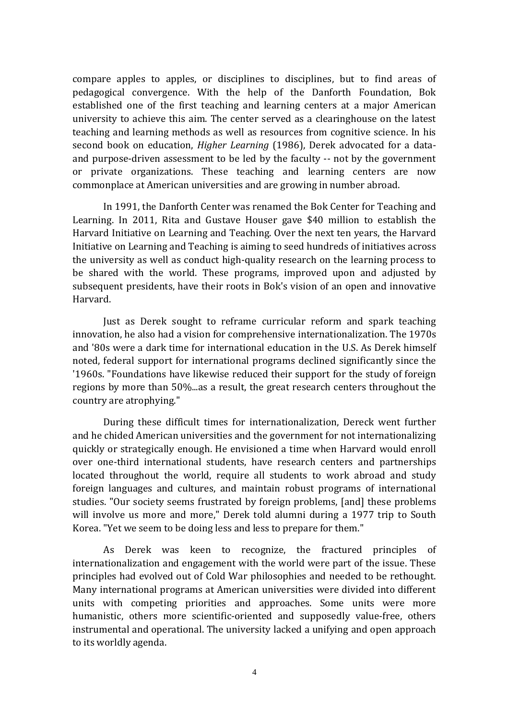compare apples to apples, or disciplines to disciplines, but to find areas of pedagogical convergence. With the help of the Danforth Foundation, Bok established one of the first teaching and learning centers at a major American university to achieve this aim. The center served as a clearinghouse on the latest teaching and learning methods as well as resources from cognitive science. In his second book on education, *Higher Learning* (1986), Derek advocated for a dataand purpose-driven assessment to be led by the faculty -- not by the government or private organizations. These teaching and learning centers are now commonplace at American universities and are growing in number abroad.

 In 1991, the Danforth Center was renamed the Bok Center for Teaching and Learning. In 2011, Rita and Gustave Houser gave \$40 million to establish the Harvard Initiative on Learning and Teaching. Over the next ten years, the Harvard Initiative on Learning and Teaching is aiming to seed hundreds of initiatives across the university as well as conduct high-quality research on the learning process to be shared with the world. These programs, improved upon and adjusted by subsequent presidents, have their roots in Bok's vision of an open and innovative Harvard.

 Just as Derek sought to reframe curricular reform and spark teaching innovation, he also had a vision for comprehensive internationalization. The 1970s and '80s were a dark time for international education in the U.S. As Derek himself noted, federal support for international programs declined significantly since the '1960s. "Foundations have likewise reduced their support for the study of foreign regions by more than 50%...as a result, the great research centers throughout the country are atrophying."

 During these difficult times for internationalization, Dereck went further and he chided American universities and the government for not internationalizing quickly or strategically enough. He envisioned a time when Harvard would enroll over one-third international students, have research centers and partnerships located throughout the world, require all students to work abroad and study foreign languages and cultures, and maintain robust programs of international studies. "Our society seems frustrated by foreign problems, [and] these problems will involve us more and more," Derek told alumni during a 1977 trip to South Korea. "Yet we seem to be doing less and less to prepare for them."

 As Derek was keen to recognize, the fractured principles of internationalization and engagement with the world were part of the issue. These principles had evolved out of Cold War philosophies and needed to be rethought. Many international programs at American universities were divided into different units with competing priorities and approaches. Some units were more humanistic, others more scientific-oriented and supposedly value-free, others instrumental and operational. The university lacked a unifying and open approach to its worldly agenda.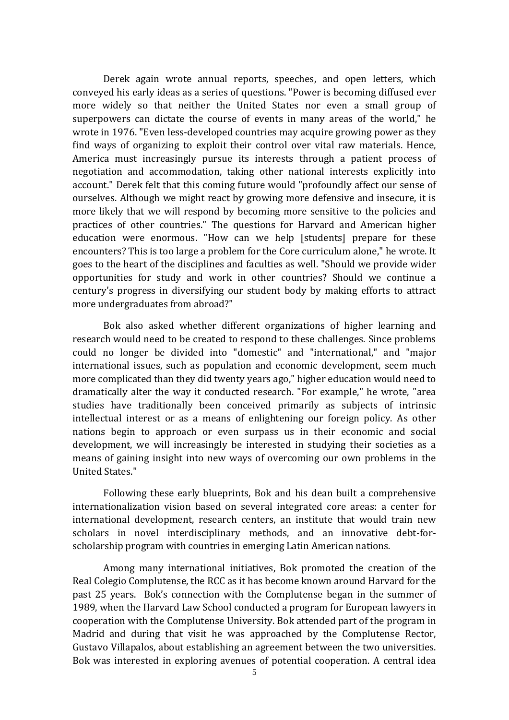Derek again wrote annual reports, speeches, and open letters, which conveyed his early ideas as a series of questions. "Power is becoming diffused ever more widely so that neither the United States nor even a small group of superpowers can dictate the course of events in many areas of the world," he wrote in 1976. "Even less-developed countries may acquire growing power as they find ways of organizing to exploit their control over vital raw materials. Hence, America must increasingly pursue its interests through a patient process of negotiation and accommodation, taking other national interests explicitly into account." Derek felt that this coming future would "profoundly affect our sense of ourselves. Although we might react by growing more defensive and insecure, it is more likely that we will respond by becoming more sensitive to the policies and practices of other countries." The questions for Harvard and American higher education were enormous. "How can we help [students] prepare for these encounters? This is too large a problem for the Core curriculum alone," he wrote. It goes to the heart of the disciplines and faculties as well. "Should we provide wider opportunities for study and work in other countries? Should we continue a century's progress in diversifying our student body by making efforts to attract more undergraduates from abroad?"

 Bok also asked whether different organizations of higher learning and research would need to be created to respond to these challenges. Since problems could no longer be divided into "domestic" and "international," and "major international issues, such as population and economic development, seem much more complicated than they did twenty years ago," higher education would need to dramatically alter the way it conducted research. "For example," he wrote, "area studies have traditionally been conceived primarily as subjects of intrinsic intellectual interest or as a means of enlightening our foreign policy. As other nations begin to approach or even surpass us in their economic and social development, we will increasingly be interested in studying their societies as a means of gaining insight into new ways of overcoming our own problems in the United States."

 Following these early blueprints, Bok and his dean built a comprehensive internationalization vision based on several integrated core areas: a center for international development, research centers, an institute that would train new scholars in novel interdisciplinary methods, and an innovative debt-forscholarship program with countries in emerging Latin American nations.

Among many international initiatives, Bok promoted the creation of the Real Colegio Complutense, the RCC as it has become known around Harvard for the past 25 years. Bok's connection with the Complutense began in the summer of 1989, when the Harvard Law School conducted a program for European lawyers in cooperation with the Complutense University. Bok attended part of the program in Madrid and during that visit he was approached by the Complutense Rector, Gustavo Villapalos, about establishing an agreement between the two universities. Bok was interested in exploring avenues of potential cooperation. A central idea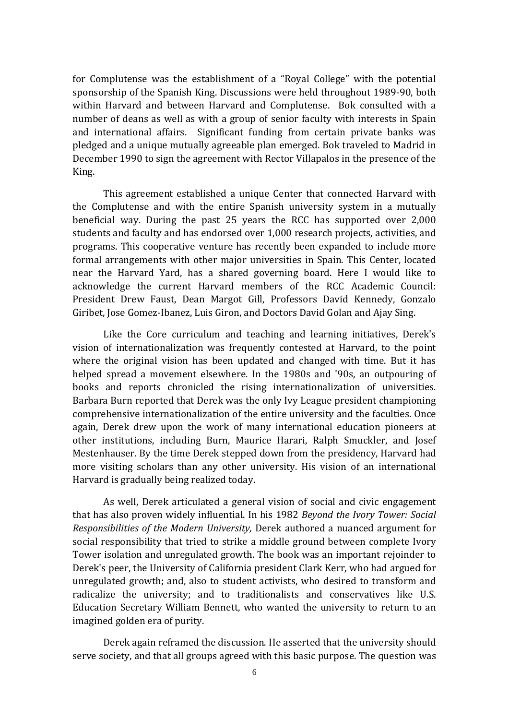for Complutense was the establishment of a "Royal College" with the potential sponsorship of the Spanish King. Discussions were held throughout 1989-90, both within Harvard and between Harvard and Complutense. Bok consulted with a number of deans as well as with a group of senior faculty with interests in Spain and international affairs. Significant funding from certain private banks was pledged and a unique mutually agreeable plan emerged. Bok traveled to Madrid in December 1990 to sign the agreement with Rector Villapalos in the presence of the King.

This agreement established a unique Center that connected Harvard with the Complutense and with the entire Spanish university system in a mutually beneficial way. During the past 25 years the RCC has supported over 2,000 students and faculty and has endorsed over 1,000 research projects, activities, and programs. This cooperative venture has recently been expanded to include more formal arrangements with other major universities in Spain. This Center, located near the Harvard Yard, has a shared governing board. Here I would like to acknowledge the current Harvard members of the RCC Academic Council: President Drew Faust, Dean Margot Gill, Professors David Kennedy, Gonzalo Giribet, Jose Gomez-Ibanez, Luis Giron, and Doctors David Golan and Ajay Sing.

 Like the Core curriculum and teaching and learning initiatives, Derek's vision of internationalization was frequently contested at Harvard, to the point where the original vision has been updated and changed with time. But it has helped spread a movement elsewhere. In the 1980s and '90s, an outpouring of books and reports chronicled the rising internationalization of universities. Barbara Burn reported that Derek was the only Ivy League president championing comprehensive internationalization of the entire university and the faculties. Once again, Derek drew upon the work of many international education pioneers at other institutions, including Burn, Maurice Harari, Ralph Smuckler, and Josef Mestenhauser. By the time Derek stepped down from the presidency, Harvard had more visiting scholars than any other university. His vision of an international Harvard is gradually being realized today.

 As well, Derek articulated a general vision of social and civic engagement that has also proven widely influential. In his 1982 *Beyond the Ivory Tower: Social Responsibilities of the Modern University,* Derek authored a nuanced argument for social responsibility that tried to strike a middle ground between complete Ivory Tower isolation and unregulated growth. The book was an important rejoinder to Derek's peer, the University of California president Clark Kerr, who had argued for unregulated growth; and, also to student activists, who desired to transform and radicalize the university; and to traditionalists and conservatives like U.S. Education Secretary William Bennett, who wanted the university to return to an imagined golden era of purity.

 Derek again reframed the discussion. He asserted that the university should serve society, and that all groups agreed with this basic purpose. The question was